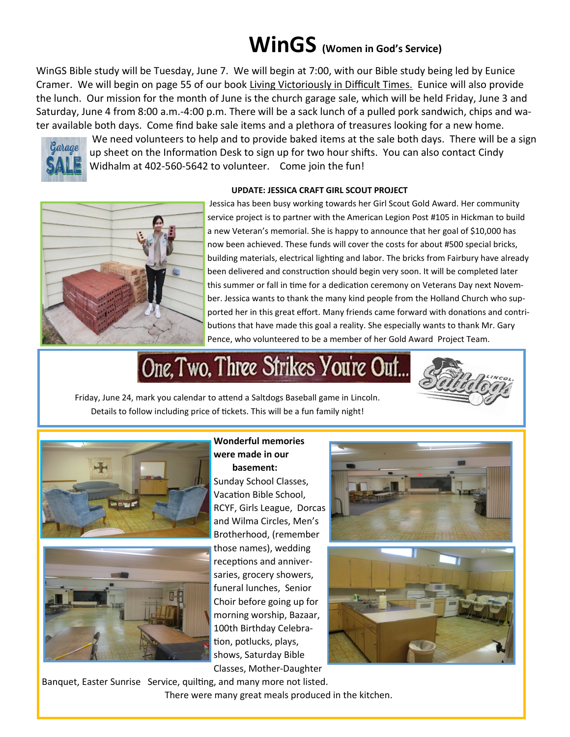### **WinGS (Women in God's Service)**

WinGS Bible study will be Tuesday, June 7. We will begin at 7:00, with our Bible study being led by Eunice Cramer. We will begin on page 55 of our book Living Victoriously in Difficult Times. Eunice will also provide the lunch. Our mission for the month of June is the church garage sale, which will be held Friday, June 3 and Saturday, June 4 from 8:00 a.m.-4:00 p.m. There will be a sack lunch of a pulled pork sandwich, chips and water available both days. Come find bake sale items and a plethora of treasures looking for a new home.



We need volunteers to help and to provide baked items at the sale both days. There will be a sign up sheet on the Information Desk to sign up for two hour shifts. You can also contact Cindy Widhalm at 402-560-5642 to volunteer. Come join the fun!

#### **UPDATE: JESSICA CRAFT GIRL SCOUT PROJECT**



Jessica has been busy working towards her Girl Scout Gold Award. Her community service project is to partner with the American Legion Post #105 in Hickman to build a new Veteran's memorial. She is happy to announce that her goal of \$10,000 has now been achieved. These funds will cover the costs for about #500 special bricks, building materials, electrical lighting and labor. The bricks from Fairbury have already been delivered and construction should begin very soon. It will be completed later this summer or fall in time for a dedication ceremony on Veterans Day next November. Jessica wants to thank the many kind people from the Holland Church who supported her in this great effort. Many friends came forward with donations and contributions that have made this goal a reality. She especially wants to thank Mr. Gary Pence, who volunteered to be a member of her Gold Award Project Team.

# One, Two, Three Strikes You're Out...

Friday, June 24, mark you calendar to attend a Saltdogs Baseball game in Lincoln. Details to follow including price of tickets. This will be a fun family night!





**Wonderful memories were made in our basement:**  Sunday School Classes, Vacation Bible School, RCYF, Girls League, Dorcas and Wilma Circles, Men's Brotherhood, (remember those names), wedding receptions and anniversaries, grocery showers, funeral lunches, Senior Choir before going up for morning worship, Bazaar, 100th Birthday Celebration, potlucks, plays, shows, Saturday Bible Classes, Mother-Daughter





Banquet, Easter Sunrise Service, quilting, and many more not listed. There were many great meals produced in the kitchen.